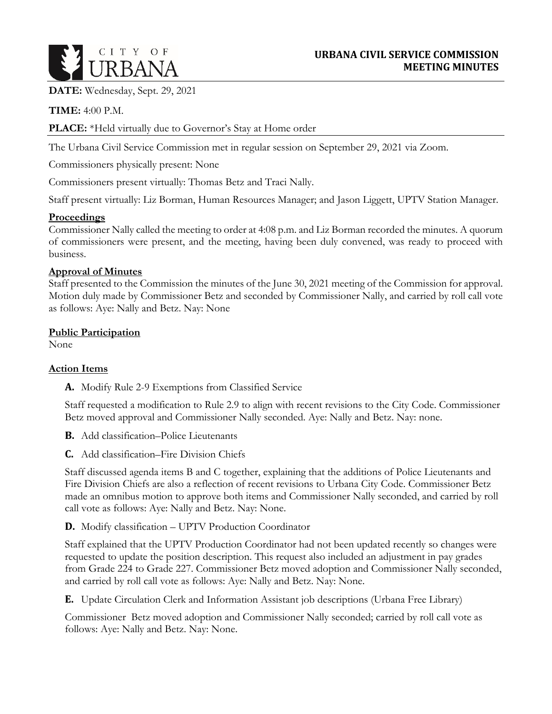

**DATE:** Wednesday, Sept. 29, 2021

**TIME:** 4:00 P.M.

### **PLACE:** \*Held virtually due to Governor's Stay at Home order

The Urbana Civil Service Commission met in regular session on September 29, 2021 via Zoom.

Commissioners physically present: None

Commissioners present virtually: Thomas Betz and Traci Nally.

Staff present virtually: Liz Borman, Human Resources Manager; and Jason Liggett, UPTV Station Manager.

#### **Proceedings**

Commissioner Nally called the meeting to order at 4:08 p.m. and Liz Borman recorded the minutes. A quorum of commissioners were present, and the meeting, having been duly convened, was ready to proceed with business.

### **Approval of Minutes**

Staff presented to the Commission the minutes of the June 30, 2021 meeting of the Commission for approval. Motion duly made by Commissioner Betz and seconded by Commissioner Nally, and carried by roll call vote as follows: Aye: Nally and Betz. Nay: None

### **Public Participation**

None

## **Action Items**

**A.** Modify Rule 2-9 Exemptions from Classified Service

Staff requested a modification to Rule 2.9 to align with recent revisions to the City Code. Commissioner Betz moved approval and Commissioner Nally seconded. Aye: Nally and Betz. Nay: none.

**B.** Add classification–Police Lieutenants

**C.** Add classification–Fire Division Chiefs

Staff discussed agenda items B and C together, explaining that the additions of Police Lieutenants and Fire Division Chiefs are also a reflection of recent revisions to Urbana City Code. Commissioner Betz made an omnibus motion to approve both items and Commissioner Nally seconded, and carried by roll call vote as follows: Aye: Nally and Betz. Nay: None.

**D.** Modify classification – UPTV Production Coordinator

Staff explained that the UPTV Production Coordinator had not been updated recently so changes were requested to update the position description. This request also included an adjustment in pay grades from Grade 224 to Grade 227. Commissioner Betz moved adoption and Commissioner Nally seconded, and carried by roll call vote as follows: Aye: Nally and Betz. Nay: None.

**E.** Update Circulation Clerk and Information Assistant job descriptions (Urbana Free Library)

Commissioner Betz moved adoption and Commissioner Nally seconded; carried by roll call vote as follows: Aye: Nally and Betz. Nay: None.